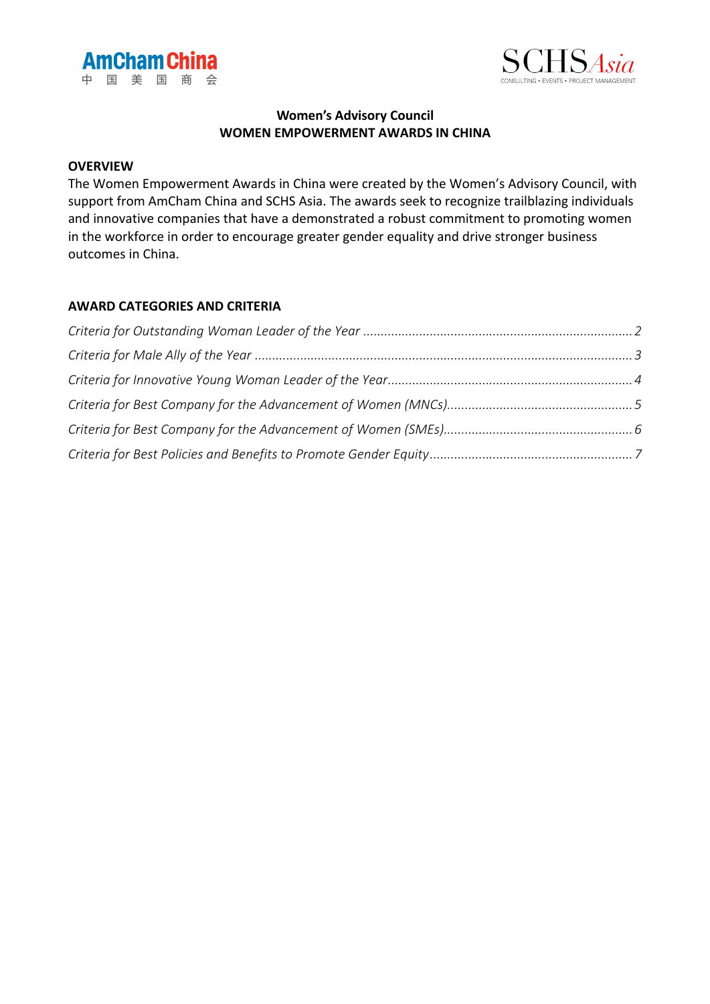



### **Women's Advisory Council WOMEN EMPOWERMENT AWARDS IN CHINA**

### **OVERVIEW**

The Women Empowerment Awards in China were created by the Women's Advisory Council, with support from AmCham China and SCHS Asia. The awards seek to recognize trailblazing individuals and innovative companies that have a demonstrated a robust commitment to promoting women in the workforce in order to encourage greater gender equality and drive stronger business outcomes in China.

### **AWARD CATEGORIES AND CRITERIA**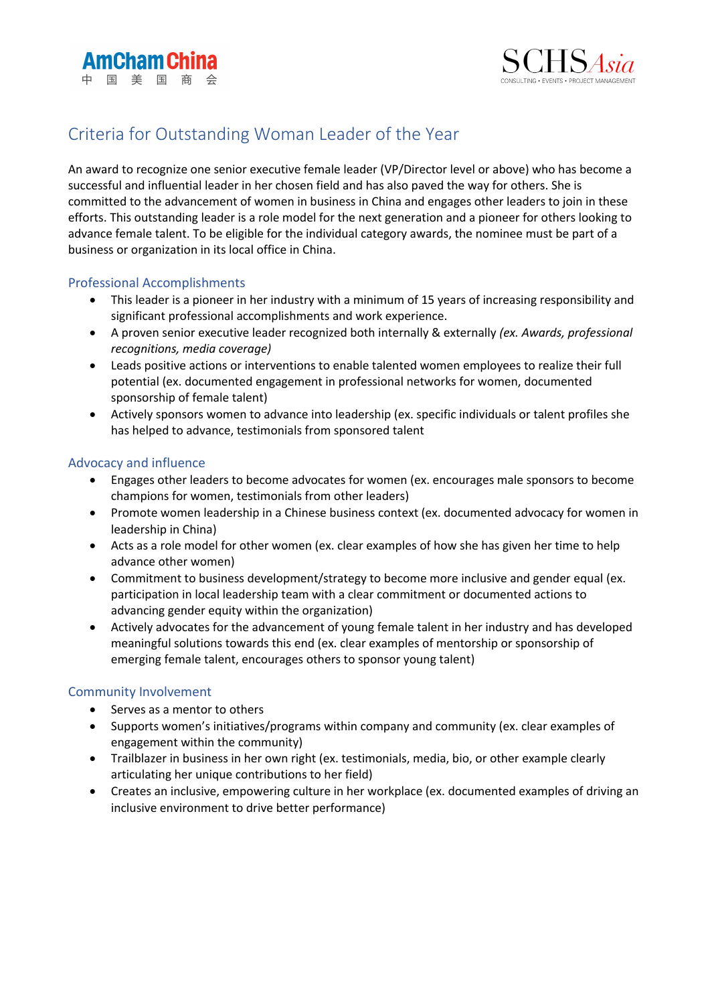



### Criteria for Outstanding Woman Leader of the Year

An award to recognize one senior executive female leader (VP/Director level or above) who has become a successful and influential leader in her chosen field and has also paved the way for others. She is committed to the advancement of women in business in China and engages other leaders to join in these efforts. This outstanding leader is a role model for the next generation and a pioneer for others looking to advance female talent. To be eligible for the individual category awards, the nominee must be part of a business or organization in its local office in China.

### Professional Accomplishments

- This leader is a pioneer in her industry with a minimum of 15 years of increasing responsibility and significant professional accomplishments and work experience.
- A proven senior executive leader recognized both internally & externally *(ex. Awards, professional recognitions, media coverage)*
- Leads positive actions or interventions to enable talented women employees to realize their full potential (ex. documented engagement in professional networks for women, documented sponsorship of female talent)
- Actively sponsors women to advance into leadership (ex. specific individuals or talent profiles she has helped to advance, testimonials from sponsored talent

### Advocacy and influence

- Engages other leaders to become advocates for women (ex. encourages male sponsors to become champions for women, testimonials from other leaders)
- Promote women leadership in a Chinese business context (ex. documented advocacy for women in leadership in China)
- Acts as a role model for other women (ex. clear examples of how she has given her time to help advance other women)
- Commitment to business development/strategy to become more inclusive and gender equal (ex. participation in local leadership team with a clear commitment or documented actions to advancing gender equity within the organization)
- Actively advocates for the advancement of young female talent in her industry and has developed meaningful solutions towards this end (ex. clear examples of mentorship or sponsorship of emerging female talent, encourages others to sponsor young talent)

- Serves as a mentor to others
- Supports women's initiatives/programs within company and community (ex. clear examples of engagement within the community)
- Trailblazer in business in her own right (ex. testimonials, media, bio, or other example clearly articulating her unique contributions to her field)
- Creates an inclusive, empowering culture in her workplace (ex. documented examples of driving an inclusive environment to drive better performance)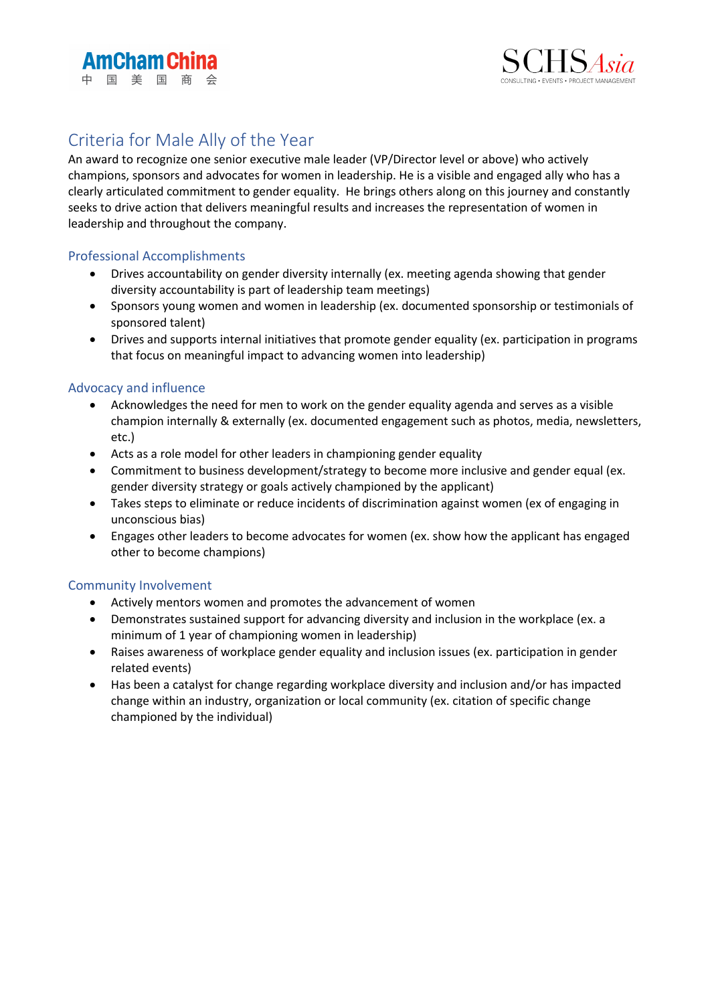



# Criteria for Male Ally of the Year

An award to recognize one senior executive male leader (VP/Director level or above) who actively champions, sponsors and advocates for women in leadership. He is a visible and engaged ally who has a clearly articulated commitment to gender equality. He brings others along on this journey and constantly seeks to drive action that delivers meaningful results and increases the representation of women in leadership and throughout the company.

### Professional Accomplishments

- Drives accountability on gender diversity internally (ex. meeting agenda showing that gender diversity accountability is part of leadership team meetings)
- Sponsors young women and women in leadership (ex. documented sponsorship or testimonials of sponsored talent)
- Drives and supports internal initiatives that promote gender equality (ex. participation in programs that focus on meaningful impact to advancing women into leadership)

### Advocacy and influence

- Acknowledges the need for men to work on the gender equality agenda and serves as a visible champion internally & externally (ex. documented engagement such as photos, media, newsletters, etc.)
- Acts as a role model for other leaders in championing gender equality
- Commitment to business development/strategy to become more inclusive and gender equal (ex. gender diversity strategy or goals actively championed by the applicant)
- Takes steps to eliminate or reduce incidents of discrimination against women (ex of engaging in unconscious bias)
- Engages other leaders to become advocates for women (ex. show how the applicant has engaged other to become champions)

- Actively mentors women and promotes the advancement of women
- Demonstrates sustained support for advancing diversity and inclusion in the workplace (ex. a minimum of 1 year of championing women in leadership)
- Raises awareness of workplace gender equality and inclusion issues (ex. participation in gender related events)
- Has been a catalyst for change regarding workplace diversity and inclusion and/or has impacted change within an industry, organization or local community (ex. citation of specific change championed by the individual)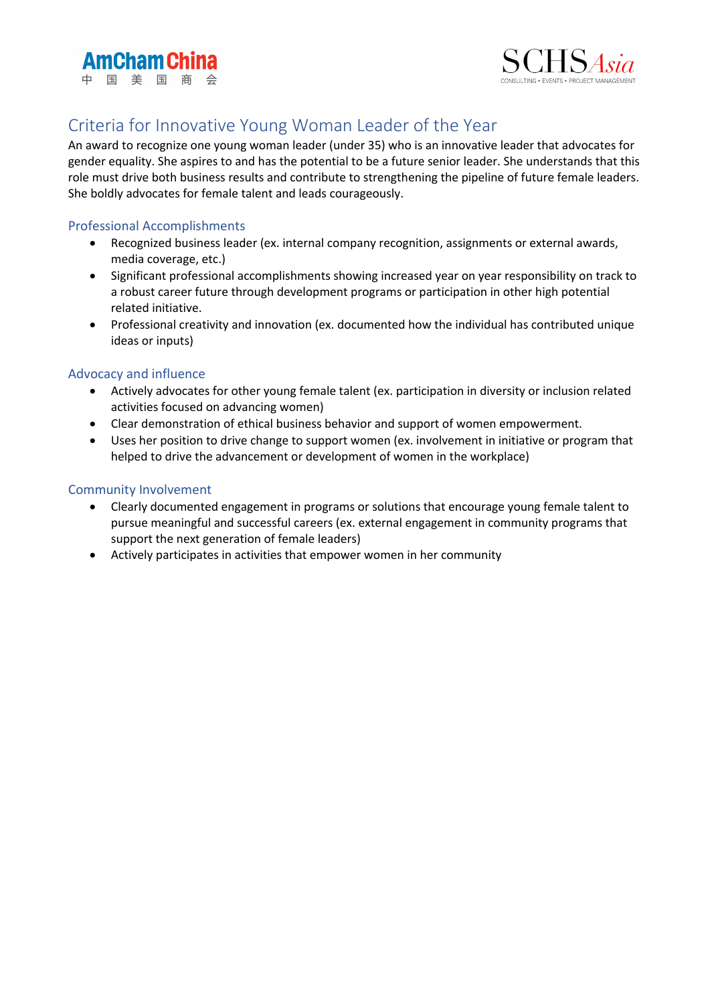### **AmCham China** 中国美国商会



## Criteria for Innovative Young Woman Leader of the Year

An award to recognize one young woman leader (under 35) who is an innovative leader that advocates for gender equality. She aspires to and has the potential to be a future senior leader. She understands that this role must drive both business results and contribute to strengthening the pipeline of future female leaders. She boldly advocates for female talent and leads courageously.

### Professional Accomplishments

- Recognized business leader (ex. internal company recognition, assignments or external awards, media coverage, etc.)
- Significant professional accomplishments showing increased year on year responsibility on track to a robust career future through development programs or participation in other high potential related initiative.
- Professional creativity and innovation (ex. documented how the individual has contributed unique ideas or inputs)

### Advocacy and influence

- Actively advocates for other young female talent (ex. participation in diversity or inclusion related activities focused on advancing women)
- Clear demonstration of ethical business behavior and support of women empowerment.
- Uses her position to drive change to support women (ex. involvement in initiative or program that helped to drive the advancement or development of women in the workplace)

- Clearly documented engagement in programs or solutions that encourage young female talent to pursue meaningful and successful careers (ex. external engagement in community programs that support the next generation of female leaders)
- Actively participates in activities that empower women in her community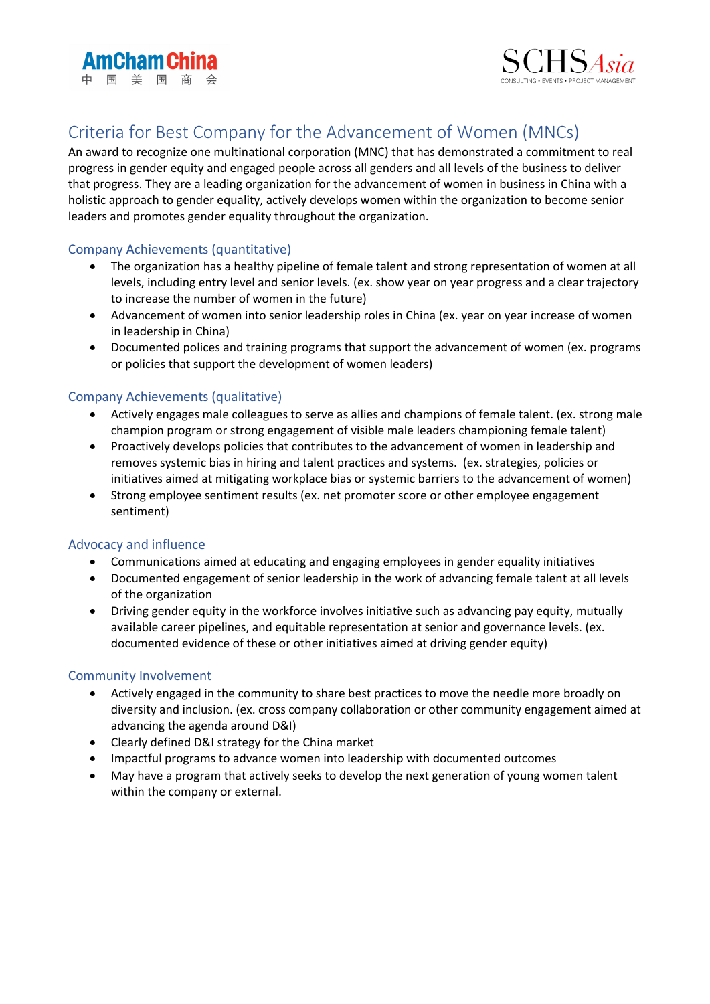



# Criteria for Best Company for the Advancement of Women (MNCs)

An award to recognize one multinational corporation (MNC) that has demonstrated a commitment to real progress in gender equity and engaged people across all genders and all levels of the business to deliver that progress. They are a leading organization for the advancement of women in business in China with a holistic approach to gender equality, actively develops women within the organization to become senior leaders and promotes gender equality throughout the organization.

### Company Achievements (quantitative)

- The organization has a healthy pipeline of female talent and strong representation of women at all levels, including entry level and senior levels. (ex. show year on year progress and a clear trajectory to increase the number of women in the future)
- Advancement of women into senior leadership roles in China (ex. year on year increase of women in leadership in China)
- Documented polices and training programs that support the advancement of women (ex. programs or policies that support the development of women leaders)

### Company Achievements (qualitative)

- Actively engages male colleagues to serve as allies and champions of female talent. (ex. strong male champion program or strong engagement of visible male leaders championing female talent)
- Proactively develops policies that contributes to the advancement of women in leadership and removes systemic bias in hiring and talent practices and systems. (ex. strategies, policies or initiatives aimed at mitigating workplace bias or systemic barriers to the advancement of women)
- Strong employee sentiment results (ex. net promoter score or other employee engagement sentiment)

### Advocacy and influence

- Communications aimed at educating and engaging employees in gender equality initiatives
- Documented engagement of senior leadership in the work of advancing female talent at all levels of the organization
- Driving gender equity in the workforce involves initiative such as advancing pay equity, mutually available career pipelines, and equitable representation at senior and governance levels. (ex. documented evidence of these or other initiatives aimed at driving gender equity)

- Actively engaged in the community to share best practices to move the needle more broadly on diversity and inclusion. (ex. cross company collaboration or other community engagement aimed at advancing the agenda around D&I)
- Clearly defined D&I strategy for the China market
- Impactful programs to advance women into leadership with documented outcomes
- May have a program that actively seeks to develop the next generation of young women talent within the company or external.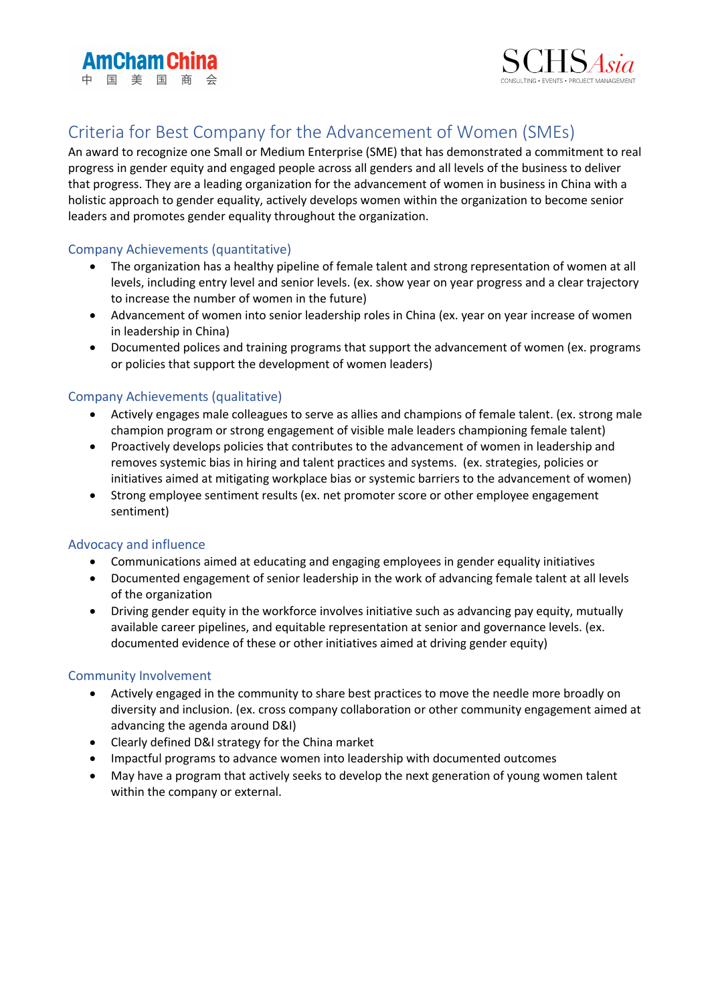



# Criteria for Best Company for the Advancement of Women (SMEs)

An award to recognize one Small or Medium Enterprise (SME) that has demonstrated a commitment to real progress in gender equity and engaged people across all genders and all levels of the business to deliver that progress. They are a leading organization for the advancement of women in business in China with a holistic approach to gender equality, actively develops women within the organization to become senior leaders and promotes gender equality throughout the organization.

### Company Achievements (quantitative)

- The organization has a healthy pipeline of female talent and strong representation of women at all levels, including entry level and senior levels. (ex. show year on year progress and a clear trajectory to increase the number of women in the future)
- Advancement of women into senior leadership roles in China (ex. year on year increase of women in leadership in China)
- Documented polices and training programs that support the advancement of women (ex. programs or policies that support the development of women leaders)

### Company Achievements (qualitative)

- Actively engages male colleagues to serve as allies and champions of female talent. (ex. strong male champion program or strong engagement of visible male leaders championing female talent)
- Proactively develops policies that contributes to the advancement of women in leadership and removes systemic bias in hiring and talent practices and systems. (ex. strategies, policies or initiatives aimed at mitigating workplace bias or systemic barriers to the advancement of women)
- Strong employee sentiment results (ex. net promoter score or other employee engagement sentiment)

### Advocacy and influence

- Communications aimed at educating and engaging employees in gender equality initiatives
- Documented engagement of senior leadership in the work of advancing female talent at all levels of the organization
- Driving gender equity in the workforce involves initiative such as advancing pay equity, mutually available career pipelines, and equitable representation at senior and governance levels. (ex. documented evidence of these or other initiatives aimed at driving gender equity)

- Actively engaged in the community to share best practices to move the needle more broadly on diversity and inclusion. (ex. cross company collaboration or other community engagement aimed at advancing the agenda around D&I)
- Clearly defined D&I strategy for the China market
- Impactful programs to advance women into leadership with documented outcomes
- May have a program that actively seeks to develop the next generation of young women talent within the company or external.